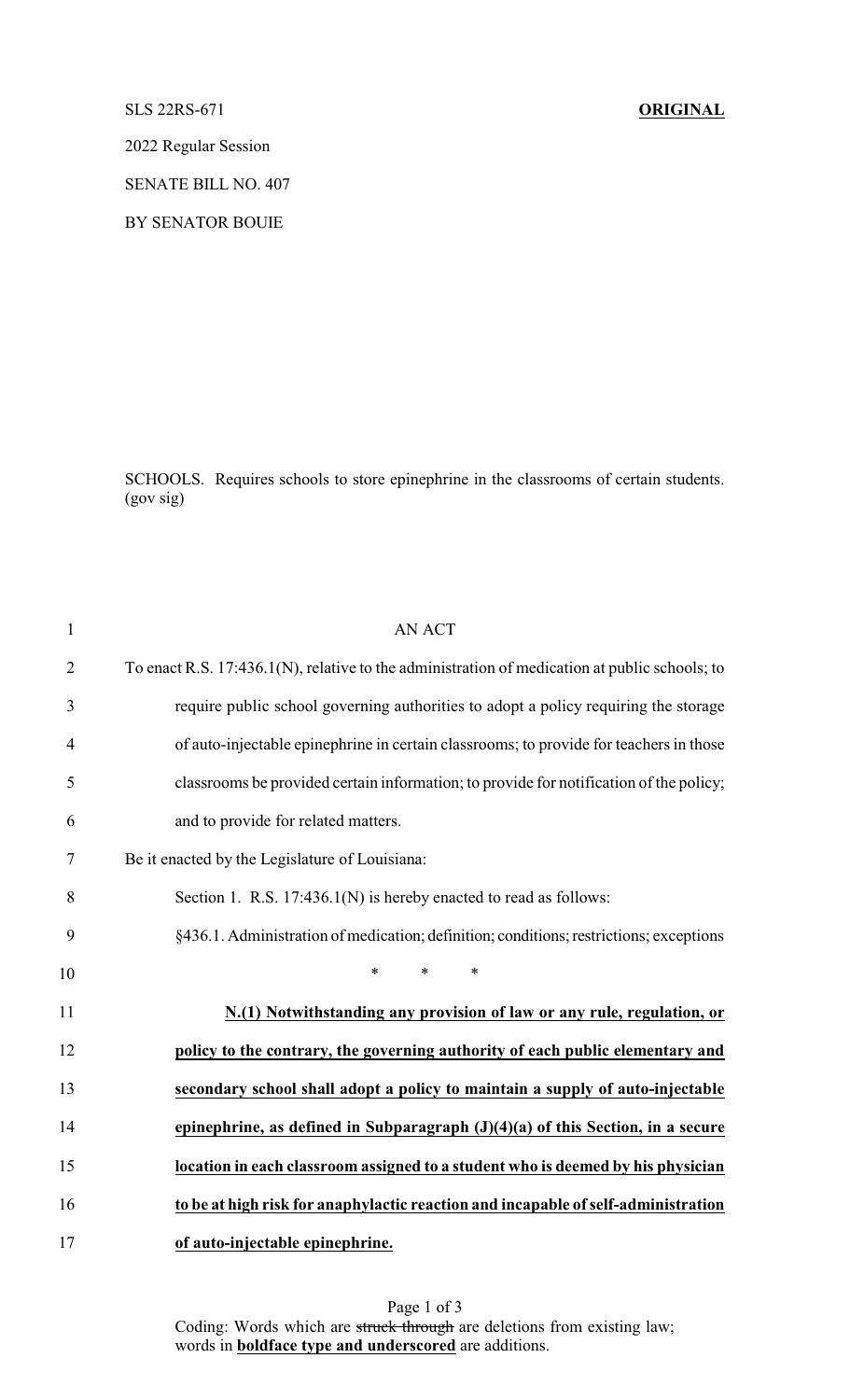## SLS 22RS-671 **ORIGINAL**

2022 Regular Session

SENATE BILL NO. 407

BY SENATOR BOUIE

SCHOOLS. Requires schools to store epinephrine in the classrooms of certain students. (gov sig)

| $\mathbf{1}$   | <b>AN ACT</b>                                                                                 |
|----------------|-----------------------------------------------------------------------------------------------|
| $\overline{2}$ | To enact R.S. 17:436.1(N), relative to the administration of medication at public schools; to |
| 3              | require public school governing authorities to adopt a policy requiring the storage           |
| $\overline{4}$ | of auto-injectable epinephrine in certain classrooms; to provide for teachers in those        |
| 5              | classrooms be provided certain information; to provide for notification of the policy;        |
| 6              | and to provide for related matters.                                                           |
| 7              | Be it enacted by the Legislature of Louisiana:                                                |
| 8              | Section 1. R.S. 17:436.1(N) is hereby enacted to read as follows:                             |
| 9              | §436.1. Administration of medication; definition; conditions; restrictions; exceptions        |
| 10             | $\ast$<br>$\ast$<br>$\ast$                                                                    |
| 11             | N.(1) Notwithstanding any provision of law or any rule, regulation, or                        |
| 12             | policy to the contrary, the governing authority of each public elementary and                 |
| 13             | secondary school shall adopt a policy to maintain a supply of auto-injectable                 |
| 14             | epinephrine, as defined in Subparagraph $(J)(4)(a)$ of this Section, in a secure              |
| 15             | location in each classroom assigned to a student who is deemed by his physician               |
| 16             | to be at high risk for anaphylactic reaction and incapable of self-administration             |
| 17             | of auto-injectable epinephrine.                                                               |

Page 1 of 3 Coding: Words which are struck through are deletions from existing law; words in **boldface type and underscored** are additions.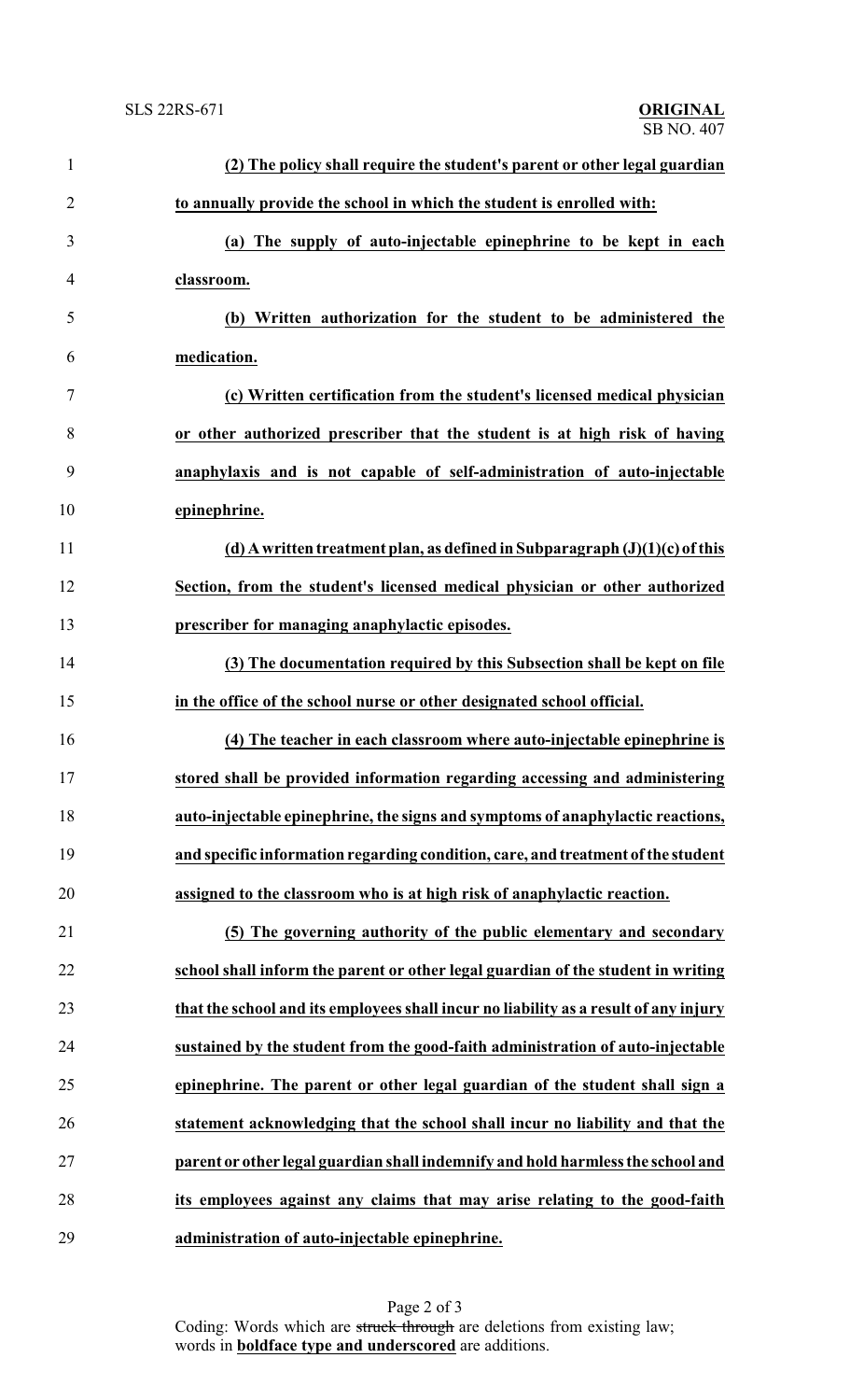| $\mathbf{1}$   | (2) The policy shall require the student's parent or other legal guardian            |
|----------------|--------------------------------------------------------------------------------------|
| $\overline{2}$ | to annually provide the school in which the student is enrolled with:                |
| 3              | (a) The supply of auto-injectable epinephrine to be kept in each                     |
| 4              | classroom.                                                                           |
| 5              | (b) Written authorization for the student to be administered the                     |
| 6              | medication.                                                                          |
| 7              | (c) Written certification from the student's licensed medical physician              |
| 8              | or other authorized prescriber that the student is at high risk of having            |
| 9              | anaphylaxis and is not capable of self-administration of auto-injectable             |
| 10             | epinephrine.                                                                         |
| 11             | (d) A written treatment plan, as defined in Subparagraph $(J)(1)(c)$ of this         |
| 12             | Section, from the student's licensed medical physician or other authorized           |
| 13             | prescriber for managing anaphylactic episodes.                                       |
| 14             | (3) The documentation required by this Subsection shall be kept on file              |
| 15             | in the office of the school nurse or other designated school official.               |
| 16             | (4) The teacher in each classroom where auto-injectable epinephrine is               |
| 17             | stored shall be provided information regarding accessing and administering           |
| 18             | auto-injectable epinephrine, the signs and symptoms of anaphylactic reactions,       |
| 19             | and specific information regarding condition, care, and treatment of the student     |
| 20             | assigned to the classroom who is at high risk of anaphylactic reaction.              |
| 21             | (5) The governing authority of the public elementary and secondary                   |
| 22             | school shall inform the parent or other legal guardian of the student in writing     |
| 23             | that the school and its employees shall incur no liability as a result of any injury |
| 24             | sustained by the student from the good-faith administration of auto-injectable       |
| 25             | epinephrine. The parent or other legal guardian of the student shall sign a          |
| 26             | statement acknowledging that the school shall incur no liability and that the        |
| 27             | parent or other legal guardian shall indemnify and hold harmless the school and      |
| 28             | its employees against any claims that may arise relating to the good-faith           |
| 29             | administration of auto-injectable epinephrine.                                       |

Page 2 of 3 Coding: Words which are struck through are deletions from existing law; words in **boldface type and underscored** are additions.